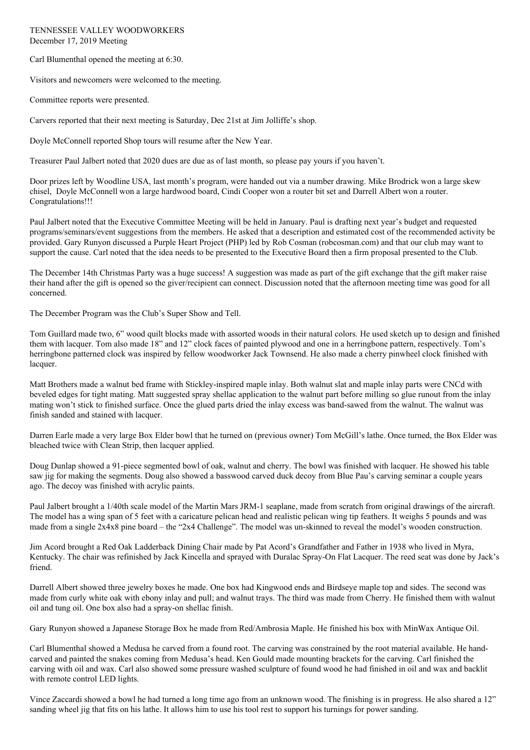TENNESSEE VALLEY WOODWORKERS December 17, 2019 Meeting

Carl Blumenthal opened the meeting at 6:30.

Visitors and newcomers were welcomed to the meeting.

Committee reports were presented.

Carvers reported that their next meeting is Saturday, Dec 21st at Jim Jolliffe's shop.

Doyle McConnell reported Shop tours will resume after the New Year.

Treasurer Paul Jalbert noted that 2020 dues are due as of last month, so please pay yours if you haven't.

Door prizes left by Woodline USA, last month's program, were handed out via a number drawing. Mike Brodrick won a large skew chisel, Doyle McConnell won a large hardwood board, Cindi Cooper won a router bit set and Darrell Albert won a router. Congratulations!!!

Paul Jalbert noted that the Executive Committee Meeting will be held in January. Paul is drafting next year's budget and requested programs/seminars/event suggestions from the members. He asked that a description and estimated cost of the recommended activity be provided. Gary Runyon discussed a Purple Heart Project (PHP) led by Rob Cosman (robcosman.com) and that our club may want to support the cause. Carl noted that the idea needs to be presented to the Executive Board then a firm proposal presented to the Club.

The December 14th Christmas Party was a huge success! A suggestion was made as part of the gift exchange that the gift maker raise their hand after the gift is opened so the giver/recipient can connect. Discussion noted that the afternoon meeting time was good for all concerned.

The December Program was the Club's Super Show and Tell.

Tom Guillard made two, 6" wood quilt blocks made with assorted woods in their natural colors. He used sketch up to design and finished them with lacquer. Tom also made 18" and 12" clock faces of painted plywood and one in a herringbone pattern, respectively. Tom's herringbone patterned clock was inspired by fellow woodworker Jack Townsend. He also made a cherry pinwheel clock finished with lacquer.

Matt Brothers made a walnut bed frame with Stickley-inspired maple inlay. Both walnut slat and maple inlay parts were CNCd with beveled edges for tight mating. Matt suggested spray shellac application to the walnut part before milling so glue runout from the inlay mating won't stick to finished surface. Once the glued parts dried the inlay excess was band-sawed from the walnut. The walnut was finish sanded and stained with lacquer.

Darren Earle made a very large Box Elder bowl that he turned on (previous owner) Tom McGill's lathe. Once turned, the Box Elder was bleached twice with Clean Strip, then lacquer applied.

Doug Dunlap showed a 91-piece segmented bowl of oak, walnut and cherry. The bowl was finished with lacquer. He showed his table saw jig for making the segments. Doug also showed a basswood carved duck decoy from Blue Pau's carving seminar a couple years ago. The decoy was finished with acrylic paints.

Paul Jalbert brought a 1/40th scale model of the Martin Mars JRM-1 seaplane, made from scratch from original drawings of the aircraft. The model has a wing span of 5 feet with a caricature pelican head and realistic pelican wing tip feathers. It weighs 5 pounds and was made from a single 2x4x8 pine board – the "2x4 Challenge". The model was un-skinned to reveal the model's wooden construction.

Jim Acord brought a Red Oak Ladderback Dining Chair made by Pat Acord's Grandfather and Father in 1938 who lived in Myra, Kentucky. The chair was refinished by Jack Kincella and sprayed with Duralac Spray-On Flat Lacquer. The reed seat was done by Jack's friend.

Darrell Albert showed three jewelry boxes he made. One box had Kingwood ends and Birdseye maple top and sides. The second was made from curly white oak with ebony inlay and pull; and walnut trays. The third was made from Cherry. He finished them with walnut oil and tung oil. One box also had a spray-on shellac finish.

Gary Runyon showed a Japanese Storage Box he made from Red/Ambrosia Maple. He finished his box with MinWax Antique Oil.

Carl Blumenthal showed a Medusa he carved from a found root. The carving was constrained by the root material available. He handcarved and painted the snakes coming from Medusa's head. Ken Gould made mounting brackets for the carving. Carl finished the carving with oil and wax. Carl also showed some pressure washed sculpture of found wood he had finished in oil and wax and backlit with remote control LED lights.

Vince Zaccardi showed a bowl he had turned a long time ago from an unknown wood. The finishing is in progress. He also shared a 12" sanding wheel jig that fits on his lathe. It allows him to use his tool rest to support his turnings for power sanding.